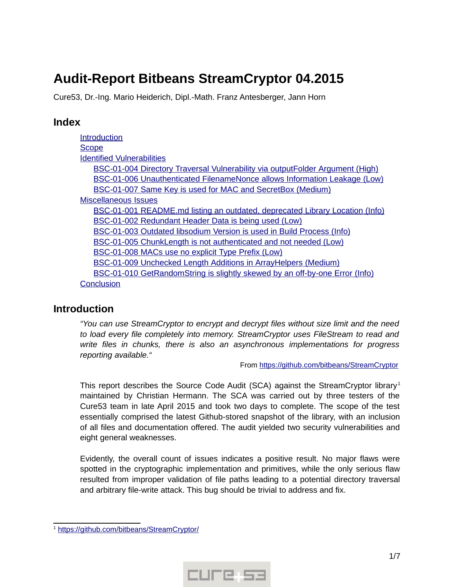# **Audit-Report Bitbeans StreamCryptor 04.2015**

Cure53, Dr.-Ing. Mario Heiderich, Dipl.-Math. Franz Antesberger, Jann Horn

### **Index**

[Introduction](#page-0-0) **[Scope](#page-1-2)**  [Identified](#page-1-1) [Vulnerabilities](#page-1-1)  [BSC -01-004 Directory Traversal Vulnerability via outputFolder Argument \( High\)](#page-1-0) BSC-01-006 Unauthenticated FilenameNonce allows Information Leakage (Low) BSC-01-007 Same Key is used for MAC and SecretBox (Medium)  [Miscellaneous](#page-3-2) [Issues](#page-3-2) BSC-01-001 README. md listing an outdated, deprecated Library Location (Info) BSC-01-002 Redundant Header Data is being used (Low)  [BSC -01-003 Outdated libsodium Version is used in Build Process \( Info\)](#page-4-2) BSC-01-005 ChunkLength is not authenticated and not needed (Low) BSC-01-008 MACs use no explicit Type Prefix (Low)  [BSC -01-009 Unchecked Length Additions in ArrayHelpers \( Medium\)](#page-5-1) BSC-01-010 GetRandomString is slightly skewed by an off-by-one Error (Info) **[Conclusion](#page-6-0)** 

# <span id="page-0-0"></span>**Introduction**

*"You can use StreamCryptor to encrypt and decrypt files without size limit and the need to load every file completely into memory. StreamCryptor uses FileStream to read and write files in chunks, there is also an asynchronous implementations for progress reporting available."*

From https://github.com/bitbeans/StreamCryptor

This report describes the Source Code Audit (SCA) against the StreamCryptor library<sup>[1](#page-0-1)</sup> maintained by Christian Hermann. The SCA was carried out by three testers of the Cure53 team in late April 2015 and took two days to complete. The scope of the test essentially comprised the latest Github-stored snapshot of the library, with an inclusion of all files and documentation offered. The audit yielded two security vulnerabilities and eight general weaknesses.

Evidently, the overall count of issues indicates a positive result. No major flaws were spotted in the cryptographic implementation and primitives, while the only serious flaw resulted from improper validation of file paths leading to a potential directory traversal and arbitrary file-write attack. This bug should be trivial to address and fix.



<span id="page-0-1"></span><sup>&</sup>lt;sup>1</sup> https://github.com/bitbeans/StreamCryptor/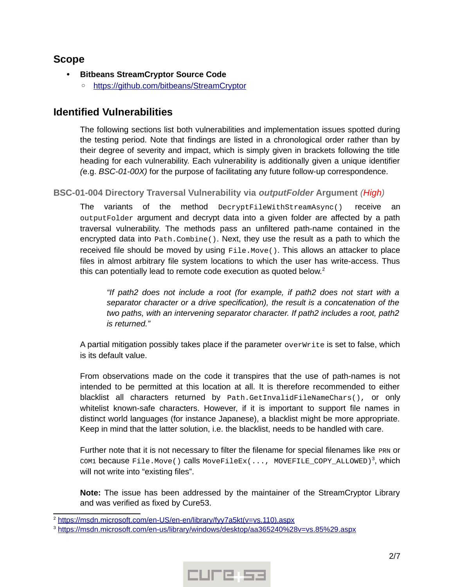### <span id="page-1-2"></span>**Scope**

- **Bitbeans StreamCryptor Source Code**
	- ◦ [https :// github. com/ bitbeans/StreamCryptor](https://github.com/bitbeans/StreamCryptor)

## <span id="page-1-1"></span>**Identified Vulnerabilities**

The following sections list both vulnerabilities and implementation issues spotted during the testing period. Note that findings are listed in a chronological order rather than by their degree of severity and impact, which is simply given in brackets following the title heading for each vulnerability. Each vulnerability is additionally given a unique identifier *(*e.g. *BSC-01-00X)* for the purpose of facilitating any future follow-up correspondence.

### <span id="page-1-0"></span>**BSC-01-004 Directory Traversal Vulnerability via** *outputFolder* **Argument** *(High)*

The variants of the method DecryptFileWithStreamAsync() receive an outputFolder argument and decrypt data into a given folder are affected by a path traversal vulnerability. The methods pass an unfiltered path-name contained in the encrypted data into Path.Combine(). Next, they use the result as a path to which the received file should be moved by using File.Move(). This allows an attacker to place files in almost arbitrary file system locations to which the user has write-access. Thus this can potentially lead to remote code execution as quoted below. $2$ 

*"If path2 does not include a root (for example, if path2 does not start with a separator character or a drive specification), the result is a concatenation of the two paths, with an intervening separator character. If path2 includes a root, path2 is returned."*

A partial mitigation possibly takes place if the parameter overWrite is set to false, which is its default value.

From observations made on the code it transpires that the use of path-names is not intended to be permitted at this location at all. It is therefore recommended to either blacklist all characters returned by Path.GetInvalidFileNameChars(), or only whitelist known-safe characters. However, if it is important to support file names in distinct world languages (for instance Japanese), a blacklist might be more appropriate. Keep in mind that the latter solution, i.e. the blacklist, needs to be handled with care.

Further note that it is not necessary to filter the filename for special filenames like PRN or <code>com1</code> because <code>File.Move()</code> calls <code>MoveFileEx(..., MOVEFILE\_COPY\_ALLOWED) $^3$  $^3$ , which</code> will not write into "existing files".



<span id="page-1-3"></span><sup>2</sup>  [https :// msdn. microsoft. com/ en - US/ en - en/ library/ fyy 7 a 5 kt \( v = vs .110\).aspx](https://msdn.microsoft.com/en-US/en-en/library/fyy7a5kt(v=vs.110).aspx)

<span id="page-1-4"></span><sup>&</sup>lt;sup>3</sup> https://msdn.microsoft.com/en-us/library/windows/desktop/aa365240%28v=vs.85%29.aspx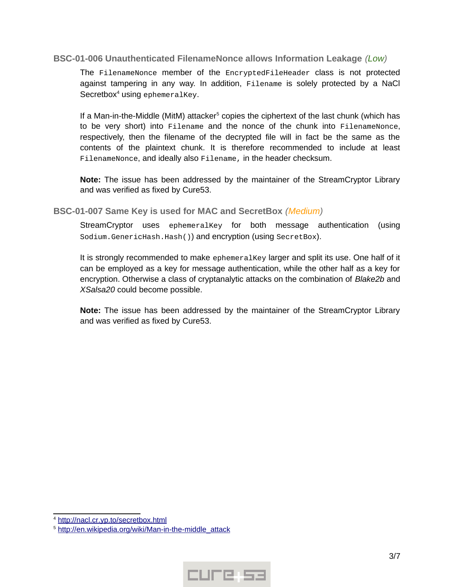#### <span id="page-2-1"></span>**BSC-01-006 Unauthenticated FilenameNonce allows Information Leakage** *(Low)*

The FilenameNonce member of the EncryptedFileHeader class is not protected against tampering in any way. In addition, Filename is solely protected by a NaCl Secretbox<sup>[4](#page-2-2)</sup> using ephemeralKey.

If a Man-in-the-Middle (MitM) attacker<sup>[5](#page-2-3)</sup> copies the ciphertext of the last chunk (which has to be very short) into Filename and the nonce of the chunk into FilenameNonce, respectively, then the filename of the decrypted file will in fact be the same as the contents of the plaintext chunk. It is therefore recommended to include at least FilenameNonce, and ideally also Filename, in the header checksum.

**Note:** The issue has been addressed by the maintainer of the StreamCryptor Library and was verified as fixed by Cure53.

<span id="page-2-0"></span>**BSC-01-007 Same Key is used for MAC and SecretBox** *(Medium)*

StreamCryptor uses ephemeralKey for both message authentication (using Sodium.GenericHash.Hash()) and encryption (using SecretBox).

It is strongly recommended to make ephemeralKey larger and split its use. One half of it can be employed as a key for message authentication, while the other half as a key for encryption. Otherwise a class of cryptanalytic attacks on the combination of *Blake2b* and *XSalsa20* could become possible.



<span id="page-2-2"></span><sup>&</sup>lt;sup>4</sup> http://nacl.cr.yp.to/secretbox.html

<span id="page-2-3"></span><sup>5</sup>  [http :// en. wikipedia. org/ wiki/ Man - in - the - middle \\_attack](http://en.wikipedia.org/wiki/Man-in-the-middle_attack)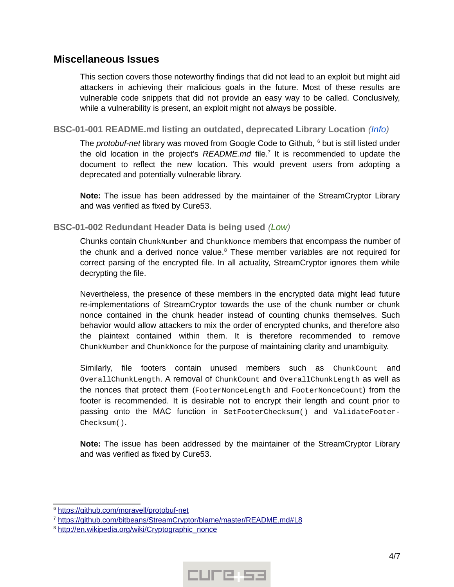### <span id="page-3-2"></span>**Miscellaneous Issues**

This section covers those noteworthy findings that did not lead to an exploit but might aid attackers in achieving their malicious goals in the future. Most of these results are vulnerable code snippets that did not provide an easy way to be called. Conclusively, while a vulnerability is present, an exploit might not always be possible.

#### <span id="page-3-1"></span>**BSC-01-001 README.md listing an outdated, deprecated Library Location** *(Info)*

The *protobuf-net* library was moved from Google Code to Github, <sup>[6](#page-3-3)</sup> but is still listed under the old location in the project's README.md file.<sup>[7](#page-3-4)</sup> It is recommended to update the document to reflect the new location. This would prevent users from adopting a deprecated and potentially vulnerable library.

**Note:** The issue has been addressed by the maintainer of the StreamCryptor Library and was verified as fixed by Cure53.

#### <span id="page-3-0"></span>**BSC-01-002 Redundant Header Data is being used** *(Low)*

Chunks contain ChunkNumber and ChunkNonce members that encompass the number of the chunk and a derived nonce value.<sup>[8](#page-3-5)</sup> These member variables are not required for correct parsing of the encrypted file. In all actuality, StreamCryptor ignores them while decrypting the file.

Nevertheless, the presence of these members in the encrypted data might lead future re-implementations of StreamCryptor towards the use of the chunk number or chunk nonce contained in the chunk header instead of counting chunks themselves. Such behavior would allow attackers to mix the order of encrypted chunks, and therefore also the plaintext contained within them. It is therefore recommended to remove ChunkNumber and ChunkNonce for the purpose of maintaining clarity and unambiguity.

Similarly, file footers contain unused members such as ChunkCount and OverallChunkLength. A removal of ChunkCount and OverallChunkLength as well as the nonces that protect them (FooterNonceLength and FooterNonceCount) from the footer is recommended. It is desirable not to encrypt their length and count prior to passing onto the MAC function in SetFooterChecksum() and ValidateFooter-Checksum().



<span id="page-3-3"></span><sup>&</sup>lt;sup>6</sup> https://github.com/mgravell/protobuf-net

<span id="page-3-4"></span><sup>&</sup>lt;sup>7</sup> https://github.com/bitbeans/StreamCryptor/blame/master/README.md#L8

<span id="page-3-5"></span><sup>&</sup>lt;sup>8</sup> http://en.wikipedia.org/wiki/Cryptographic\_nonce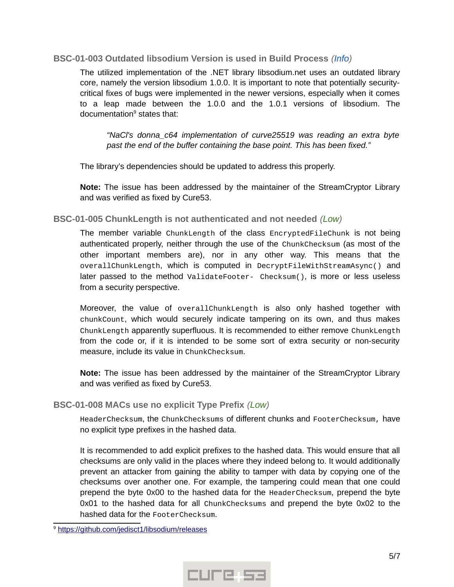#### <span id="page-4-2"></span>**BSC-01-003 Outdated libsodium Version is used in Build Process** *(Info)*

The utilized implementation of the .NET library libsodium.net uses an outdated library core, namely the version libsodium 1.0.0. It is important to note that potentially securitycritical fixes of bugs were implemented in the newer versions, especially when it comes to a leap made between the 1.0.0 and the 1.0.1 versions of libsodium. The documentation<sup>[9](#page-4-3)</sup> states that:

*"NaCl's donna\_c64 implementation of curve25519 was reading an extra byte past the end of the buffer containing the base point. This has been fixed."*

The library's dependencies should be updated to address this properly.

**Note:** The issue has been addressed by the maintainer of the StreamCryptor Library and was verified as fixed by Cure53.

#### <span id="page-4-1"></span>**BSC-01-005 ChunkLength is not authenticated and not needed** *(Low)*

The member variable ChunkLength of the class EncryptedFileChunk is not being authenticated properly, neither through the use of the ChunkChecksum (as most of the other important members are), nor in any other way. This means that the overallChunkLength, which is computed in DecryptFileWithStreamAsync() and later passed to the method ValidateFooter- Checksum(), is more or less useless from a security perspective.

Moreover, the value of overallChunkLength is also only hashed together with chunkCount, which would securely indicate tampering on its own, and thus makes ChunkLength apparently superfluous. It is recommended to either remove ChunkLength from the code or, if it is intended to be some sort of extra security or non-security measure, include its value in ChunkChecksum.

**Note:** The issue has been addressed by the maintainer of the StreamCryptor Library and was verified as fixed by Cure53.

#### <span id="page-4-0"></span>**BSC-01-008 MACs use no explicit Type Prefix** *(Low)*

HeaderChecksum, the ChunkChecksums of different chunks and FooterChecksum, have no explicit type prefixes in the hashed data.

It is recommended to add explicit prefixes to the hashed data. This would ensure that all checksums are only valid in the places where they indeed belong to. It would additionally prevent an attacker from gaining the ability to tamper with data by copying one of the checksums over another one. For example, the tampering could mean that one could prepend the byte 0x00 to the hashed data for the HeaderChecksum, prepend the byte 0x01 to the hashed data for all ChunkChecksums and prepend the byte 0x02 to the hashed data for the FooterChecksum.



<span id="page-4-3"></span><sup>&</sup>lt;sup>9</sup> https://github.com/jedisct1/libsodium/releases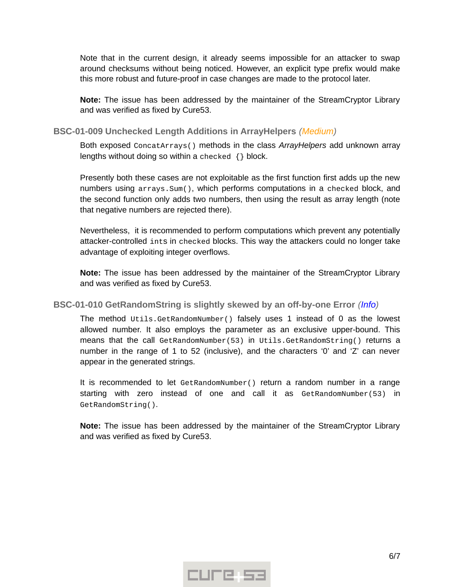Note that in the current design, it already seems impossible for an attacker to swap around checksums without being noticed. However, an explicit type prefix would make this more robust and future-proof in case changes are made to the protocol later.

**Note:** The issue has been addressed by the maintainer of the StreamCryptor Library and was verified as fixed by Cure53.

#### <span id="page-5-1"></span>**BSC-01-009 Unchecked Length Additions in ArrayHelpers** *(Medium)*

Both exposed ConcatArrays() methods in the class *ArrayHelpers* add unknown array lengths without doing so within a checked {} block.

Presently both these cases are not exploitable as the first function first adds up the new numbers using arrays.Sum(), which performs computations in a checked block, and the second function only adds two numbers, then using the result as array length (note that negative numbers are rejected there).

Nevertheless, it is recommended to perform computations which prevent any potentially attacker-controlled ints in checked blocks. This way the attackers could no longer take advantage of exploiting integer overflows.

**Note:** The issue has been addressed by the maintainer of the StreamCryptor Library and was verified as fixed by Cure53.

#### <span id="page-5-0"></span>**BSC-01-010 GetRandomString is slightly skewed by an off-by-one Error** *(Info)*

The method Utils.GetRandomNumber() falsely uses 1 instead of 0 as the lowest allowed number. It also employs the parameter as an exclusive upper-bound. This means that the call GetRandomNumber(53) in Utils.GetRandomString() returns a number in the range of 1 to 52 (inclusive), and the characters '0' and 'Z' can never appear in the generated strings.

It is recommended to let GetRandomNumber() return a random number in a range starting with zero instead of one and call it as GetRandomNumber(53) in GetRandomString().